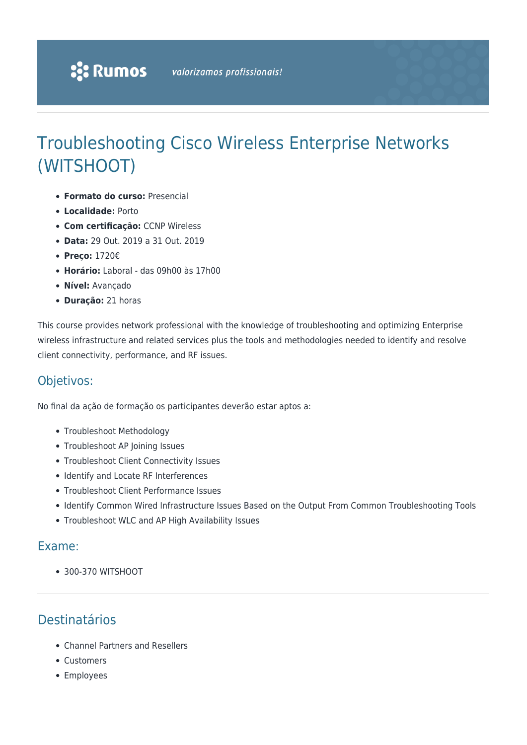# Troubleshooting Cisco Wireless Enterprise Networks (WITSHOOT)

- **Formato do curso:** Presencial
- **Localidade:** Porto
- **Com certificação:** CCNP Wireless
- **Data:** 29 Out. 2019 a 31 Out. 2019
- **Preço:** 1720€
- **Horário:** Laboral das 09h00 às 17h00
- **Nível:** Avançado
- **Duração:** 21 horas

This course provides network professional with the knowledge of troubleshooting and optimizing Enterprise wireless infrastructure and related services plus the tools and methodologies needed to identify and resolve client connectivity, performance, and RF issues.

#### Objetivos:

No final da ação de formação os participantes deverão estar aptos a:

- Troubleshoot Methodology
- Troubleshoot AP Joining Issues
- Troubleshoot Client Connectivity Issues
- Identify and Locate RF Interferences
- Troubleshoot Client Performance Issues
- Identify Common Wired Infrastructure Issues Based on the Output From Common Troubleshooting Tools
- Troubleshoot WLC and AP High Availability Issues

#### Exame:

300-370 WITSHOOT

## Destinatários

- Channel Partners and Resellers
- Customers
- Employees